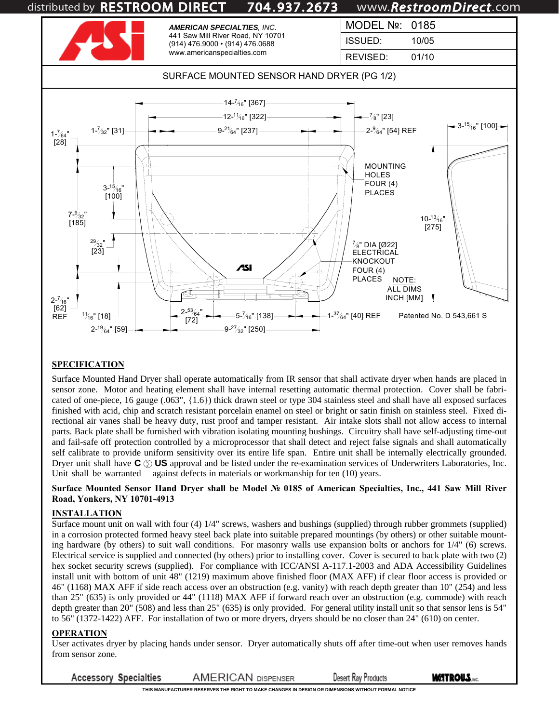

### **SPECIFICATION**

Surface Mounted Hand Dryer shall operate automatically from IR sensor that shall activate dryer when hands are placed in sensor zone. Motor and heating element shall have internal resetting automatic thermal protection. Cover shall be fabricated of one-piece, 16 gauge (.063", {1.6}) thick drawn steel or type 304 stainless steel and shall have all exposed surfaces finished with acid, chip and scratch resistant porcelain enamel on steel or bright or satin finish on stainless steel. Fixed directional air vanes shall be heavy duty, rust proof and tamper resistant. Air intake slots shall not allow access to internal parts. Back plate shall be furnished with vibration isolating mounting bushings. Circuitry shall have self-adjusting time-out and fail-safe off protection controlled by a microprocessor that shall detect and reject false signals and shall automatically self calibrate to provide uniform sensitivity over its entire life span. Entire unit shall be internally electrically grounded. Dryer unit shall have **C**  $\circledcirc$  **US** approval and be listed under the re-examination services of Underwriters Laboratories, Inc. Unit shall be warranted against defects in materials or workmanship for ten (10) years.

#### **Surface Mounted Sensor Hand Dryer shall be Model № 0185 of American Specialties, Inc., 441 Saw Mill River Road, Yonkers, NY 10701-4913**

### **INSTALLATION**

Surface mount unit on wall with four (4) 1/4" screws, washers and bushings (supplied) through rubber grommets (supplied) in a corrosion protected formed heavy steel back plate into suitable prepared mountings (by others) or other suitable mounting hardware (by others) to suit wall conditions. For masonry walls use expansion bolts or anchors for 1/4" (6) screws. Electrical service is supplied and connected (by others) prior to installing cover. Cover is secured to back plate with two (2) hex socket security screws (supplied). For compliance with ICC/ANSI A-117.1-2003 and ADA Accessibility Guidelines install unit with bottom of unit 48" (1219) maximum above finished floor (MAX AFF) if clear floor access is provided or 46" (1168) MAX AFF if side reach access over an obstruction (e.g. vanity) with reach depth greater than 10" (254) and less than 25" (635) is only provided or 44" (1118) MAX AFF if forward reach over an obstruction (e.g. commode) with reach depth greater than 20" (508) and less than 25" (635) is only provided. For general utility install unit so that sensor lens is 54" to 56" (1372-1422) AFF. For installation of two or more dryers, dryers should be no closer than 24" (610) on center.

### **OPERATION**

User activates dryer by placing hands under sensor. Dryer automatically shuts off after time-out when user removes hands from sensor zone.

**Accessory Specialties AMERICAN DISPENSER Desert Ray Products** 

**THIS MANUFACTURER RESERVES THE RIGHT TO MAKE CHANGES IN DESIGN OR DIMENSIONS WITHOUT FORMAL NOTICE**